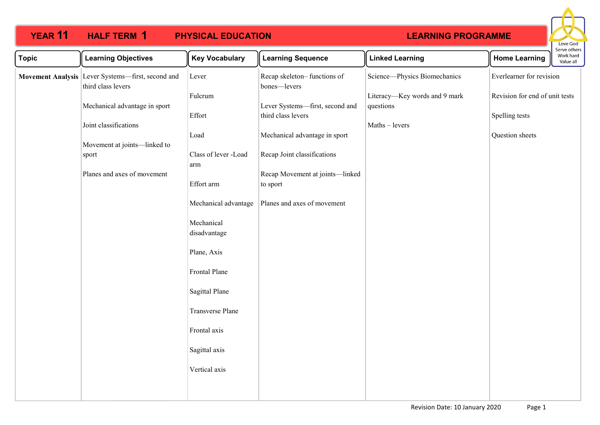

| <b>Topic</b> | <b>Learning Objectives</b>                                              | <b>Key Vocabulary</b>       | <b>Learning Sequence</b>                              | <b>Linked Learning</b>                     | <b>Home Learning</b>                             | בו אב סנווכו א<br>Work hard<br>Value all |
|--------------|-------------------------------------------------------------------------|-----------------------------|-------------------------------------------------------|--------------------------------------------|--------------------------------------------------|------------------------------------------|
|              | Movement Analysis Lever Systems-first, second and<br>third class levers | Lever                       | Recap skeleton-functions of<br>bones-levers           | Science-Physics Biomechanics               | Everlearner for revision                         |                                          |
|              | Mechanical advantage in sport                                           | Fulcrum<br>Effort           | Lever Systems-first, second and<br>third class levers | Literacy-Key words and 9 mark<br>questions | Revision for end of unit tests<br>Spelling tests |                                          |
|              | Joint classifications                                                   | Load                        | Mechanical advantage in sport                         | Maths - levers                             | Question sheets                                  |                                          |
|              | Movement at joints-linked to                                            |                             |                                                       |                                            |                                                  |                                          |
|              | sport                                                                   | Class of lever -Load<br>arm | Recap Joint classifications                           |                                            |                                                  |                                          |
|              | Planes and axes of movement                                             | Effort arm                  | Recap Movement at joints-linked<br>to sport           |                                            |                                                  |                                          |
|              |                                                                         | Mechanical advantage        | Planes and axes of movement                           |                                            |                                                  |                                          |
|              |                                                                         | Mechanical<br>disadvantage  |                                                       |                                            |                                                  |                                          |
|              |                                                                         | Plane, Axis                 |                                                       |                                            |                                                  |                                          |
|              |                                                                         | Frontal Plane               |                                                       |                                            |                                                  |                                          |
|              |                                                                         | Sagittal Plane              |                                                       |                                            |                                                  |                                          |
|              |                                                                         | Transverse Plane            |                                                       |                                            |                                                  |                                          |
|              |                                                                         | Frontal axis                |                                                       |                                            |                                                  |                                          |
|              |                                                                         | Sagittal axis               |                                                       |                                            |                                                  |                                          |
|              |                                                                         | Vertical axis               |                                                       |                                            |                                                  |                                          |
|              |                                                                         |                             |                                                       |                                            |                                                  |                                          |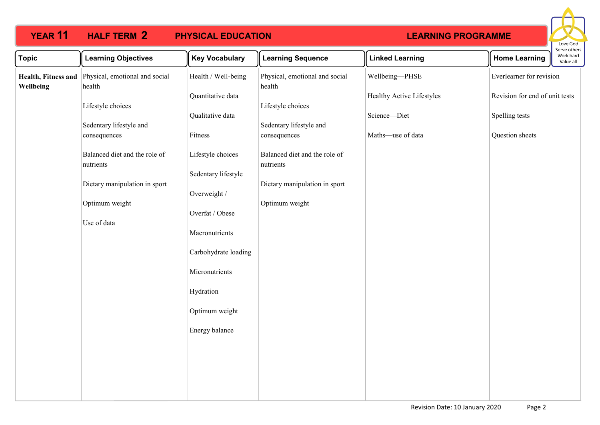

| <b>Topic</b>                     | <b>Learning Objectives</b>                                                                                   | <b>Key Vocabulary</b>                                                                                                                                                                    | <b>Learning Sequence</b>                                                                      | <b>Linked Learning</b>                    | Serve others<br>Work hard<br><b>Home Learning</b><br>Value all |  |
|----------------------------------|--------------------------------------------------------------------------------------------------------------|------------------------------------------------------------------------------------------------------------------------------------------------------------------------------------------|-----------------------------------------------------------------------------------------------|-------------------------------------------|----------------------------------------------------------------|--|
| Health, Fitness and<br>Wellbeing | Physical, emotional and social<br>health                                                                     | Health / Well-being                                                                                                                                                                      | Physical, emotional and social<br>health                                                      | Wellbeing-PHSE                            | Everlearner for revision                                       |  |
|                                  | Lifestyle choices<br>Sedentary lifestyle and                                                                 | Quantitative data<br>Qualitative data                                                                                                                                                    | Lifestyle choices<br>Sedentary lifestyle and                                                  | Healthy Active Lifestyles<br>Science-Diet | Revision for end of unit tests<br>Spelling tests               |  |
|                                  | consequences                                                                                                 | Fitness                                                                                                                                                                                  | consequences                                                                                  | Maths-use of data                         | Question sheets                                                |  |
|                                  | Balanced diet and the role of<br>nutrients<br>Dietary manipulation in sport<br>Optimum weight<br>Use of data | Lifestyle choices<br>Sedentary lifestyle<br>Overweight /<br>Overfat / Obese<br>Macronutrients<br>Carbohydrate loading<br>Micronutrients<br>Hydration<br>Optimum weight<br>Energy balance | Balanced diet and the role of<br>nutrients<br>Dietary manipulation in sport<br>Optimum weight |                                           |                                                                |  |
|                                  |                                                                                                              |                                                                                                                                                                                          |                                                                                               |                                           |                                                                |  |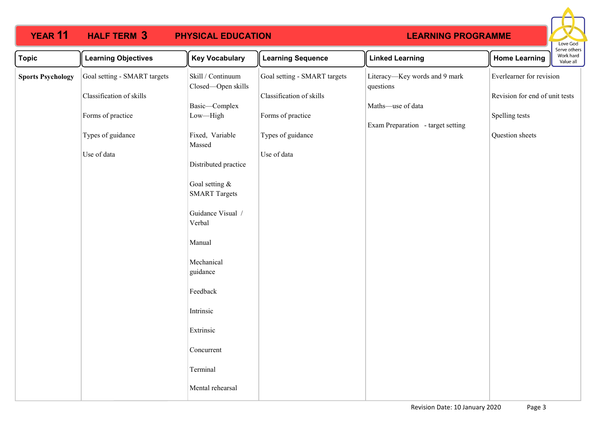

| <b>Topic</b>             | <b>Learning Objectives</b>   | <b>Key Vocabulary</b>                   | <b>Learning Sequence</b>     | <b>Linked Learning</b>                     | <b>Home Learning</b>           | Work hard<br>Value all |  |
|--------------------------|------------------------------|-----------------------------------------|------------------------------|--------------------------------------------|--------------------------------|------------------------|--|
| <b>Sports Psychology</b> | Goal setting - SMART targets | Skill / Continuum<br>Closed-Open skills | Goal setting - SMART targets | Literacy-Key words and 9 mark<br>questions | Everlearner for revision       |                        |  |
|                          | Classification of skills     |                                         | Classification of skills     |                                            | Revision for end of unit tests |                        |  |
|                          | Forms of practice            | Basic-Complex<br>Low-High               | Forms of practice            | Maths-use of data                          | Spelling tests                 |                        |  |
|                          |                              |                                         |                              | Exam Preparation - target setting          |                                |                        |  |
|                          | Types of guidance            | Fixed, Variable<br>Massed               | Types of guidance            |                                            | Question sheets                |                        |  |
|                          | Use of data                  |                                         | Use of data                  |                                            |                                |                        |  |
|                          |                              | Distributed practice                    |                              |                                            |                                |                        |  |
|                          |                              | Goal setting &                          |                              |                                            |                                |                        |  |
|                          |                              | <b>SMART Targets</b>                    |                              |                                            |                                |                        |  |
|                          |                              | Guidance Visual /<br>Verbal             |                              |                                            |                                |                        |  |
|                          |                              |                                         |                              |                                            |                                |                        |  |
|                          |                              | Manual                                  |                              |                                            |                                |                        |  |
|                          |                              | Mechanical                              |                              |                                            |                                |                        |  |
|                          |                              | guidance                                |                              |                                            |                                |                        |  |
|                          |                              | Feedback                                |                              |                                            |                                |                        |  |
|                          |                              | Intrinsic                               |                              |                                            |                                |                        |  |
|                          |                              | Extrinsic                               |                              |                                            |                                |                        |  |
|                          |                              | Concurrent                              |                              |                                            |                                |                        |  |
|                          |                              | Terminal                                |                              |                                            |                                |                        |  |
|                          |                              | Mental rehearsal                        |                              |                                            |                                |                        |  |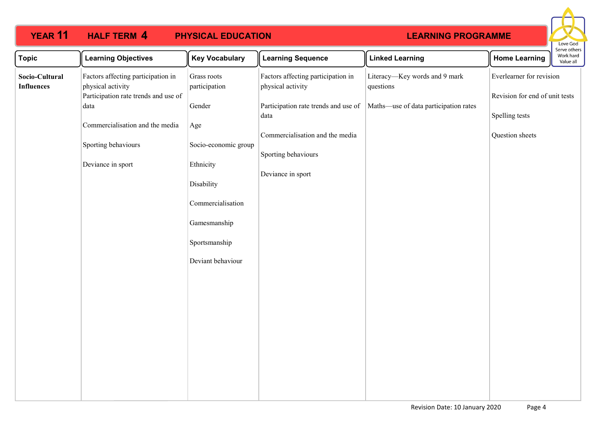

| <b>Topic</b>                        | <b>Learning Objectives</b>                                                                      | <b>Key Vocabulary</b>              | <b>Learning Sequence</b>                                | <b>Linked Learning</b>                     | <b>Home Learning</b>                                       | serve others<br>Work hard<br>Value all |
|-------------------------------------|-------------------------------------------------------------------------------------------------|------------------------------------|---------------------------------------------------------|--------------------------------------------|------------------------------------------------------------|----------------------------------------|
| Socio-Cultural<br><b>Influences</b> | Factors affecting participation in<br>physical activity<br>Participation rate trends and use of | Grass roots<br>participation       | Factors affecting participation in<br>physical activity | Literacy-Key words and 9 mark<br>questions | Everlearner for revision<br>Revision for end of unit tests |                                        |
|                                     | data<br>Commercialisation and the media                                                         | Gender<br>Age                      | Participation rate trends and use of<br>data            | Maths-use of data participation rates      | Spelling tests                                             |                                        |
|                                     | Sporting behaviours                                                                             | Socio-economic group               | Commercialisation and the media<br>Sporting behaviours  |                                            | Question sheets                                            |                                        |
|                                     | Deviance in sport                                                                               | Ethnicity<br>Disability            | Deviance in sport                                       |                                            |                                                            |                                        |
|                                     |                                                                                                 | Commercialisation                  |                                                         |                                            |                                                            |                                        |
|                                     |                                                                                                 | Gamesmanship                       |                                                         |                                            |                                                            |                                        |
|                                     |                                                                                                 | Sportsmanship<br>Deviant behaviour |                                                         |                                            |                                                            |                                        |
|                                     |                                                                                                 |                                    |                                                         |                                            |                                                            |                                        |
|                                     |                                                                                                 |                                    |                                                         |                                            |                                                            |                                        |
|                                     |                                                                                                 |                                    |                                                         |                                            |                                                            |                                        |
|                                     |                                                                                                 |                                    |                                                         |                                            |                                                            |                                        |
|                                     |                                                                                                 |                                    |                                                         |                                            |                                                            |                                        |